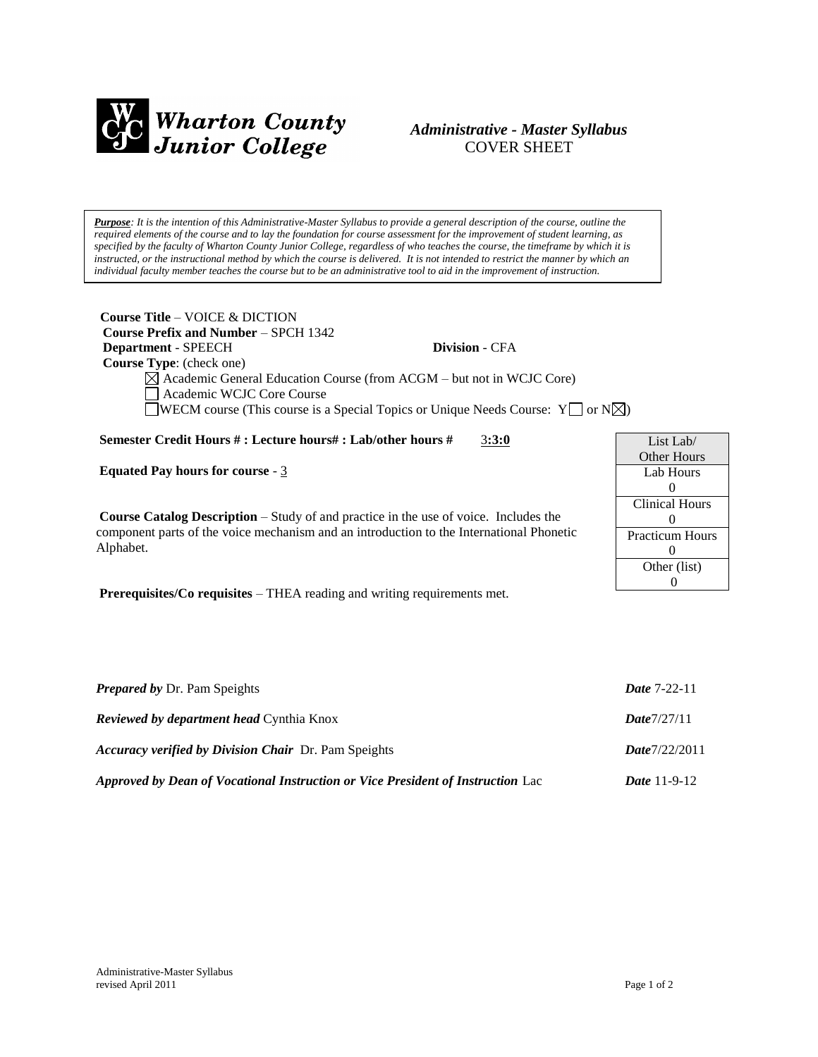

# *Administrative - Master Syllabus*  COVER SHEET

*Purpose: It is the intention of this Administrative-Master Syllabus to provide a general description of the course, outline the required elements of the course and to lay the foundation for course assessment for the improvement of student learning, as specified by the faculty of Wharton County Junior College, regardless of who teaches the course, the timeframe by which it is instructed, or the instructional method by which the course is delivered. It is not intended to restrict the manner by which an individual faculty member teaches the course but to be an administrative tool to aid in the improvement of instruction.*

| <b>Course Title – VOICE &amp; DICTION</b><br><b>Course Prefix and Number – SPCH 1342</b> |                                                                                        |  |
|------------------------------------------------------------------------------------------|----------------------------------------------------------------------------------------|--|
| <b>Department - SPEECH</b>                                                               | <b>Division - CFA</b>                                                                  |  |
| <b>Course Type:</b> (check one)                                                          |                                                                                        |  |
|                                                                                          | $\boxtimes$ Academic General Education Course (from ACGM – but not in WCJC Core)       |  |
| Academic WCJC Core Course                                                                |                                                                                        |  |
|                                                                                          | <b>NECM</b> course (This course is a Special Topics or Unique Needs Course: $Y \cap Y$ |  |
| Semester Credit Hours #: Lecture hours#: Lab/other hours #                               | 3:3:0                                                                                  |  |

**Equated Pay hours for course** - 3

**Course Catalog Description** – Study of and practice in the use of voice. Includes the component parts of the voice mechanism and an introduction to the International Phonetic Alphabet.

**Prerequisites/Co requisites** – THEA reading and writing requirements met.

| List Lab $/$           |  |
|------------------------|--|
| Other Hours            |  |
| Lab Hours              |  |
| 0                      |  |
| <b>Clinical Hours</b>  |  |
| 0                      |  |
| <b>Practicum Hours</b> |  |
| 0                      |  |
| Other (list)           |  |
|                        |  |

| <b>Prepared by Dr. Pam Speights</b>                                             | <b>Date 7-22-11</b> |
|---------------------------------------------------------------------------------|---------------------|
| <b>Reviewed by department head Cynthia Knox</b>                                 | Date7/27/11         |
| <b>Accuracy verified by Division Chair</b> Dr. Pam Speights                     | Date7/22/2011       |
| Approved by Dean of Vocational Instruction or Vice President of Instruction Lac | <b>Date</b> 11-9-12 |